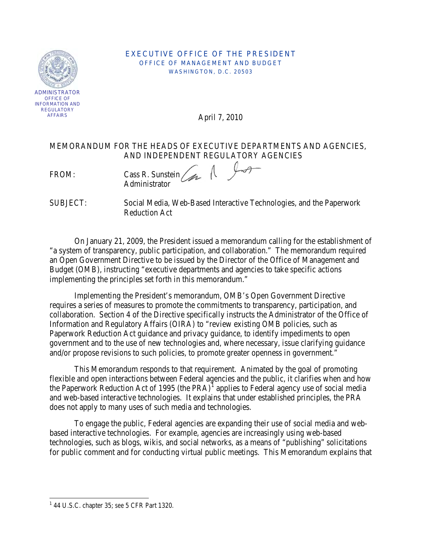

#### EXECUTIVE OFFICE OF THE PRESIDENT OFFICE OF MANAGEMENT AND BUDGET WASHINGTON, D.C. 20503

April 7, 2010

# MEMORANDUM FOR THE HEADS OF EXECUTIVE DEPARTMENTS AND AGENCIES, AND INDEPENDENT REGULATORY AGENCIES

FROM: Cass R. Sunstein  $\begin{matrix} 1 & 1 \end{matrix}$ Administrator

SUBJECT: Social Media, Web-Based Interactive Technologies, and the Paperwork Reduction Act

On January 21, 2009, the President issued a memorandum calling for the establishment of "a system of transparency, public participation, and collaboration." The memorandum required an Open Government Directive to be issued by the Director of the Office of Management and Budget (OMB), instructing "executive departments and agencies to take specific actions implementing the principles set forth in this memorandum."

Implementing the President's memorandum, OMB's Open Government Directive requires a series of measures to promote the commitments to transparency, participation, and collaboration. Section 4 of the Directive specifically instructs the Administrator of the Office of Information and Regulatory Affairs (OIRA) to "review existing OMB policies, such as Paperwork Reduction Act guidance and privacy guidance, to identify impediments to open government and to the use of new technologies and, where necessary, issue clarifying guidance and/or propose revisions to such policies, to promote greater openness in government."

This Memorandum responds to that requirement. Animated by the goal of promoting flexible and open interactions between Federal agencies and the public, it clarifies when and how the Paperwork Reduction Act of [1](#page-0-0)995 (the PRA)<sup>1</sup> applies to Federal agency use of social media and web-based interactive technologies. It explains that under established principles, the PRA does not apply to many uses of such media and technologies.

To engage the public, Federal agencies are expanding their use of social media and webbased interactive technologies. For example, agencies are increasingly using web-based technologies, such as blogs, wikis, and social networks, as a means of "publishing" solicitations for public comment and for conducting virtual public meetings. This Memorandum explains that

 $\overline{\phantom{0}}$ 

<span id="page-0-0"></span><sup>1</sup> 44 U.S.C. chapter 35; *see* 5 CFR Part 1320.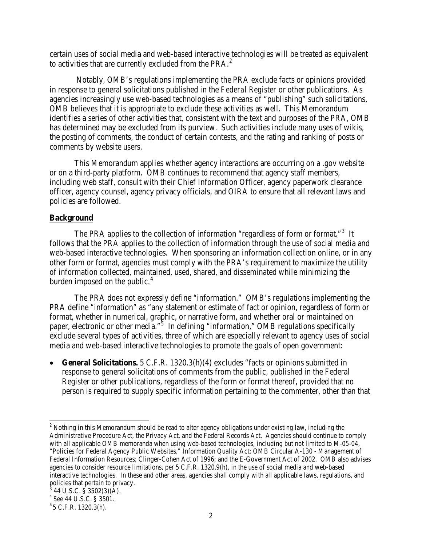certain uses of social media and web-based interactive technologies will be treated as equivalent to activities that are currently excluded from the PRA. $<sup>2</sup>$  $<sup>2</sup>$  $<sup>2</sup>$ </sup>

 Notably, OMB's regulations implementing the PRA exclude facts or opinions provided in response to general solicitations published in the *Federal Register* or other publications. As agencies increasingly use web-based technologies as a means of "publishing" such solicitations, OMB believes that it is appropriate to exclude these activities as well. This Memorandum identifies a series of other activities that, consistent with the text and purposes of the PRA, OMB has determined may be excluded from its purview. Such activities include many uses of wikis, the posting of comments, the conduct of certain contests, and the rating and ranking of posts or comments by website users.

This Memorandum applies whether agency interactions are occurring on a .gov website or on a third-party platform. OMB continues to recommend that agency staff members, including web staff, consult with their Chief Information Officer, agency paperwork clearance officer, agency counsel, agency privacy officials, and OIRA to ensure that all relevant laws and policies are followed.

# **Background**

The PRA applies to the collection of information "regardless of form or format."<sup>[3](#page-1-1)</sup> It follows that the PRA applies to the collection of information through the use of social media and web-based interactive technologies. When sponsoring an information collection online, or in any other form or format, agencies must comply with the PRA's requirement to maximize the utility of information collected, maintained, used, shared, and disseminated while minimizing the burden imposed on the public. $4$ 

The PRA does not expressly define "information." OMB's regulations implementing the PRA define "information" as "any statement or estimate of fact or opinion, regardless of form or format, whether in numerical, graphic, or narrative form, and whether oral or maintained on paper, electronic or other media."<sup>[5](#page-1-3)</sup> In defining "information," OMB regulations specifically exclude several types of activities, three of which are especially relevant to agency uses of social media and web-based interactive technologies to promote the goals of open government:

• **General Solicitations.** 5 C.F.R. 1320.3(h)(4) excludes "facts or opinions submitted in response to general solicitations of comments from the public, published in the Federal Register or other publications, regardless of the form or format thereof, provided that no person is required to supply specific information pertaining to the commenter, other than that

ı

<span id="page-1-0"></span><sup>&</sup>lt;sup>2</sup> Nothing in this Memorandum should be read to alter agency obligations under existing law, including the Administrative Procedure Act, the Privacy Act, and the Federal Records Act. Agencies should continue to comply with all applicable OMB memoranda when using web-based technologies, including but not limited to M-05-04, "Policies for Federal Agency Public Websites," Information Quality Act; OMB Circular A-130 - Management of Federal Information Resources; Clinger-Cohen Act of 1996; and the E-Government Act of 2002. OMB also advises agencies to consider resource limitations, per 5 C.F.R. 1320.9(h), in the use of social media and web-based interactive technologies. In these and other areas, agencies shall comply with all applicable laws, regulations, and policies that pertain to privacy.

<span id="page-1-1"></span> $3^{3}$  44 U.S.C. § 3502(3)(A).

<span id="page-1-2"></span><sup>4</sup> *See* 44 U.S.C. § 3501. <sup>5</sup>5 C.F.R. 1320.3(h).

<span id="page-1-3"></span>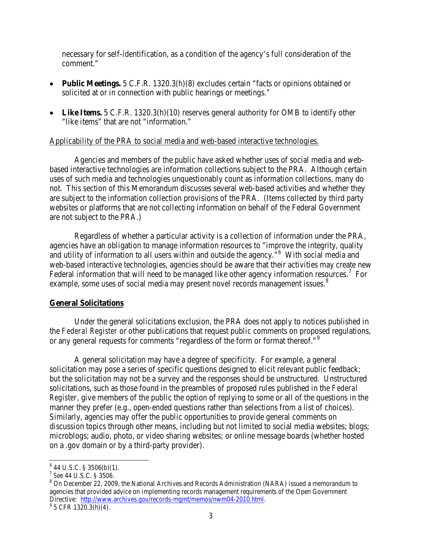necessary for self-identification, as a condition of the agency's full consideration of the comment."

- **Public Meetings.** 5 C.F.R. 1320.3(h)(8) excludes certain "facts or opinions obtained or solicited at or in connection with public hearings or meetings."
- Like Items. 5 C.F.R. 1320.3(h)(10) reserves general authority for OMB to identify other "like items" that are not "information."

#### Applicability of the PRA to social media and web-based interactive technologies.

Agencies and members of the public have asked whether uses of social media and webbased interactive technologies are information collections subject to the PRA. Although certain uses of such media and technologies unquestionably count as information collections, many do not. This section of this Memorandum discusses several web-based activities and whether they are subject to the information collection provisions of the PRA. (Items collected by third party websites or platforms that are not collecting information on behalf of the Federal Government are not subject to the PRA.)

Regardless of whether a particular activity is a collection of information under the PRA, agencies have an obligation to manage information resources to "improve the integrity, quality and utility of information to all users within and outside the agency."<sup>[6](#page-2-0)</sup> With social media and web-based interactive technologies, agencies should be aware that their activities may create new Federal information that will need to be managed like other agency information resources.<sup>[7](#page-2-1)</sup> For example, some uses of social media may present novel records management issues.<sup>[8](#page-2-2)</sup>

## **General Solicitations**

Under the general solicitations exclusion, the PRA does not apply to notices published in the *Federal Register* or other publications that request public comments on proposed regulations, or any general requests for comments "regardless of the form or format thereof."[9](#page-2-3)

A general solicitation may have a degree of specificity. For example, a general solicitation may pose a series of specific questions designed to elicit relevant public feedback; but the solicitation may not be a survey and the responses should be unstructured. Unstructured solicitations, such as those found in the preambles of proposed rules published in the *Federal Register*, give members of the public the option of replying to some or all of the questions in the manner they prefer (e.g., open-ended questions rather than selections from a list of choices). Similarly, agencies may offer the public opportunities to provide general comments on discussion topics through other means, including but not limited to social media websites; blogs; microblogs; audio, photo, or video sharing websites; or online message boards (whether hosted on a .gov domain or by a third-party provider).

 $\overline{\phantom{0}}$ 

<span id="page-2-0"></span> $^{6}$  44 U.S.C. § 3506(b)(1).<br>
<sup>7</sup> See 44 U.S.C. § 3506.

<span id="page-2-1"></span>

<span id="page-2-2"></span><sup>&</sup>lt;sup>8</sup> On December 22, 2009, the National Archives and Records Administration (NARA) issued a memorandum to agencies that provided advice on implementing records management requirements of the Open Government Directive: http://www.archives.gov/records-mgmt/memos/nwm04-2010.html.<br><sup>9</sup> 5 CFR 1320.3(h)(4).

<span id="page-2-3"></span>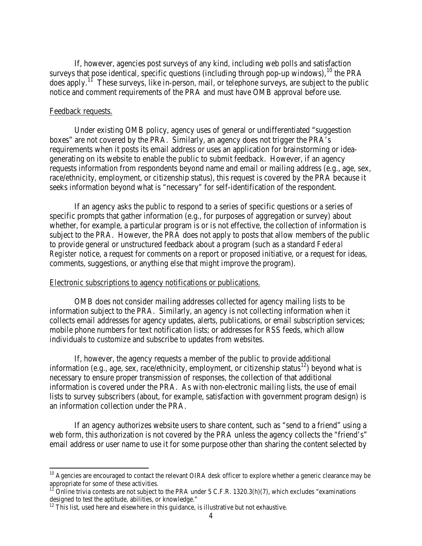If, however, agencies post surveys of any kind, including web polls and satisfaction surveys that pose identical, specific questions (including through pop-up windows),<sup>[10](#page-3-0)</sup> the PRA does apply.[11](#page-3-1) These surveys, like in-person, mail, or telephone surveys, are subject to the public notice and comment requirements of the PRA and must have OMB approval before use.

#### Feedback requests.

l

Under existing OMB policy, agency uses of general or undifferentiated "suggestion boxes" are not covered by the PRA. Similarly, an agency does not trigger the PRA's requirements when it posts its email address or uses an application for brainstorming or ideagenerating on its website to enable the public to submit feedback. However, if an agency requests information from respondents beyond name and email or mailing address (e.g., age, sex, race/ethnicity, employment, or citizenship status), this request is covered by the PRA because it seeks information beyond what is "necessary" for self-identification of the respondent.

If an agency asks the public to respond to a series of specific questions or a series of specific prompts that gather information (e.g., for purposes of aggregation or survey) about whether, for example, a particular program is or is not effective, the collection of information is subject to the PRA. However, the PRA does not apply to posts that allow members of the public to provide general or unstructured feedback about a program (such as a standard *Federal Register* notice, a request for comments on a report or proposed initiative, or a request for ideas, comments, suggestions, or anything else that might improve the program).

#### Electronic subscriptions to agency notifications or publications.

OMB does not consider mailing addresses collected for agency mailing lists to be information subject to the PRA. Similarly, an agency is not collecting information when it collects email addresses for agency updates, alerts, publications, or email subscription services; mobile phone numbers for text notification lists; or addresses for RSS feeds, which allow individuals to customize and subscribe to updates from websites.

If, however, the agency requests a member of the public to provide additional information (e.g., age, sex, race/ethnicity, employment, or citizenship status<sup>12</sup>) beyond what is necessary to ensure proper transmission of responses, the collection of that additional information is covered under the PRA. As with non-electronic mailing lists, the use of email lists to survey subscribers (about, for example, satisfaction with government program design) is an information collection under the PRA.

If an agency authorizes website users to share content, such as "send to a friend" using a web form, this authorization is not covered by the PRA unless the agency collects the "friend's" email address or user name to use it for some purpose other than sharing the content selected by

<span id="page-3-0"></span><sup>&</sup>lt;sup>10</sup> Agencies are encouraged to contact the relevant OIRA desk officer to explore whether a generic clearance may be appropriate for some of these activities.

<span id="page-3-1"></span><sup>&</sup>lt;sup>11</sup> Online trivia contests are not subject to the PRA under 5 C.F.R. 1320.3(h)(7), which excludes "examinations" designed to test the aptitude, abilities, or knowledge."

<span id="page-3-2"></span> $12$  This list, used here and elsewhere in this guidance, is illustrative but not exhaustive.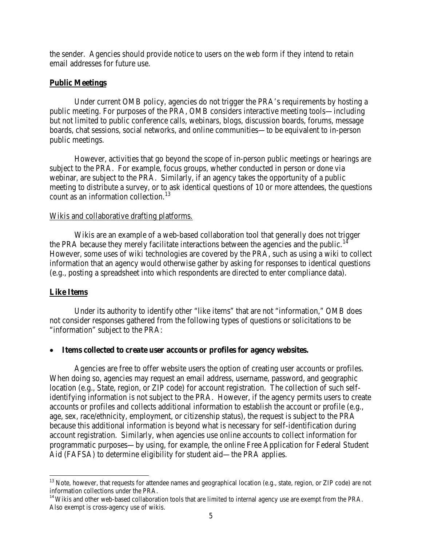the sender. Agencies should provide notice to users on the web form if they intend to retain email addresses for future use.

## **Public Meetings**

Under current OMB policy, agencies do not trigger the PRA's requirements by hosting a public meeting. For purposes of the PRA, OMB considers interactive meeting tools—including but not limited to public conference calls, webinars, blogs, discussion boards, forums, message boards, chat sessions, social networks, and online communities—to be equivalent to in-person public meetings.

However, activities that go beyond the scope of in-person public meetings or hearings are subject to the PRA. For example, focus groups, whether conducted in person or done via webinar, are subject to the PRA. Similarly, if an agency takes the opportunity of a public meeting to distribute a survey, or to ask identical questions of 10 or more attendees, the questions count as an information collection.<sup>[13](#page-4-0)</sup>

## Wikis and collaborative drafting platforms.

Wikis are an example of a web-based collaboration tool that generally does not trigger the PRA because they merely facilitate interactions between the agencies and the public.<sup>14</sup> However, some uses of wiki technologies are covered by the PRA, such as using a wiki to collect information that an agency would otherwise gather by asking for responses to identical questions (e.g., posting a spreadsheet into which respondents are directed to enter compliance data).

## **Like Items**

 $\overline{\phantom{0}}$ 

Under its authority to identify other "like items" that are not "information," OMB does not consider responses gathered from the following types of questions or solicitations to be "information" subject to the PRA:

## • **Items collected to create user accounts or profiles for agency websites.**

Agencies are free to offer website users the option of creating user accounts or profiles. When doing so, agencies may request an email address, username, password, and geographic location (e.g., State, region, or ZIP code) for account registration. The collection of such selfidentifying information is not subject to the PRA. However, if the agency permits users to create accounts or profiles and collects additional information to establish the account or profile (e.g., age, sex, race/ethnicity, employment, or citizenship status), the request is subject to the PRA because this additional information is beyond what is necessary for self-identification during account registration. Similarly, when agencies use online accounts to collect information for programmatic purposes—by using, for example, the online Free Application for Federal Student Aid (FAFSA) to determine eligibility for student aid—the PRA applies.

<span id="page-4-0"></span> $13$  Note, however, that requests for attendee names and geographical location (e.g., state, region, or ZIP code) are not information collections under the PRA.

<span id="page-4-1"></span><sup>&</sup>lt;sup>14</sup> Wikis and other web-based collaboration tools that are limited to internal agency use are exempt from the PRA. Also exempt is cross-agency use of wikis.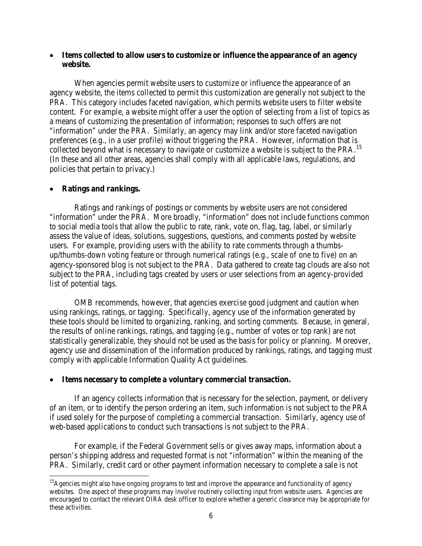## • **Items collected to allow users to customize or influence the appearance of an agency website.**

When agencies permit website users to customize or influence the appearance of an agency website, the items collected to permit this customization are generally not subject to the PRA. This category includes faceted navigation, which permits website users to filter website content. For example, a website might offer a user the option of selecting from a list of topics as a means of customizing the presentation of information; responses to such offers are not "information" under the PRA. Similarly, an agency may link and/or store faceted navigation preferences (e.g., in a user profile) without triggering the PRA. However, information that is collected beyond what is necessary to navigate or customize a website is subject to the PRA.<sup>[15](#page-5-0)</sup> (In these and all other areas, agencies shall comply with all applicable laws, regulations, and policies that pertain to privacy.)

## • **Ratings and rankings.**

 $\overline{\phantom{0}}$ 

Ratings and rankings of postings or comments by website users are not considered "information" under the PRA. More broadly, "information" does not include functions common to social media tools that allow the public to rate, rank, vote on, flag, tag, label, or similarly assess the value of ideas, solutions, suggestions, questions, and comments posted by website users. For example, providing users with the ability to rate comments through a thumbsup/thumbs-down voting feature or through numerical ratings (e.g., scale of one to five) on an agency-sponsored blog is not subject to the PRA. Data gathered to create tag clouds are also not subject to the PRA, including tags created by users or user selections from an agency-provided list of potential tags.

OMB recommends, however, that agencies exercise good judgment and caution when using rankings, ratings, or tagging. Specifically, agency use of the information generated by these tools should be limited to organizing, ranking, and sorting comments. Because, in general, the results of online rankings, ratings, and tagging (e.g., number of votes or top rank) are not statistically generalizable, they should not be used as the basis for policy or planning. Moreover, agency use and dissemination of the information produced by rankings, ratings, and tagging must comply with applicable Information Quality Act guidelines.

#### • **Items necessary to complete a voluntary commercial transaction.**

If an agency collects information that is necessary for the selection, payment, or delivery of an item, or to identify the person ordering an item, such information is not subject to the PRA if used solely for the purpose of completing a commercial transaction. Similarly, agency use of web-based applications to conduct such transactions is not subject to the PRA.

For example, if the Federal Government sells or gives away maps, information about a person's shipping address and requested format is not "information" within the meaning of the PRA. Similarly, credit card or other payment information necessary to complete a sale is not

<span id="page-5-0"></span><sup>&</sup>lt;sup>15</sup>Agencies might also have ongoing programs to test and improve the appearance and functionality of agency websites. One aspect of these programs may involve routinely collecting input from website users. Agencies are encouraged to contact the relevant OIRA desk officer to explore whether a generic clearance may be appropriate for these activities.